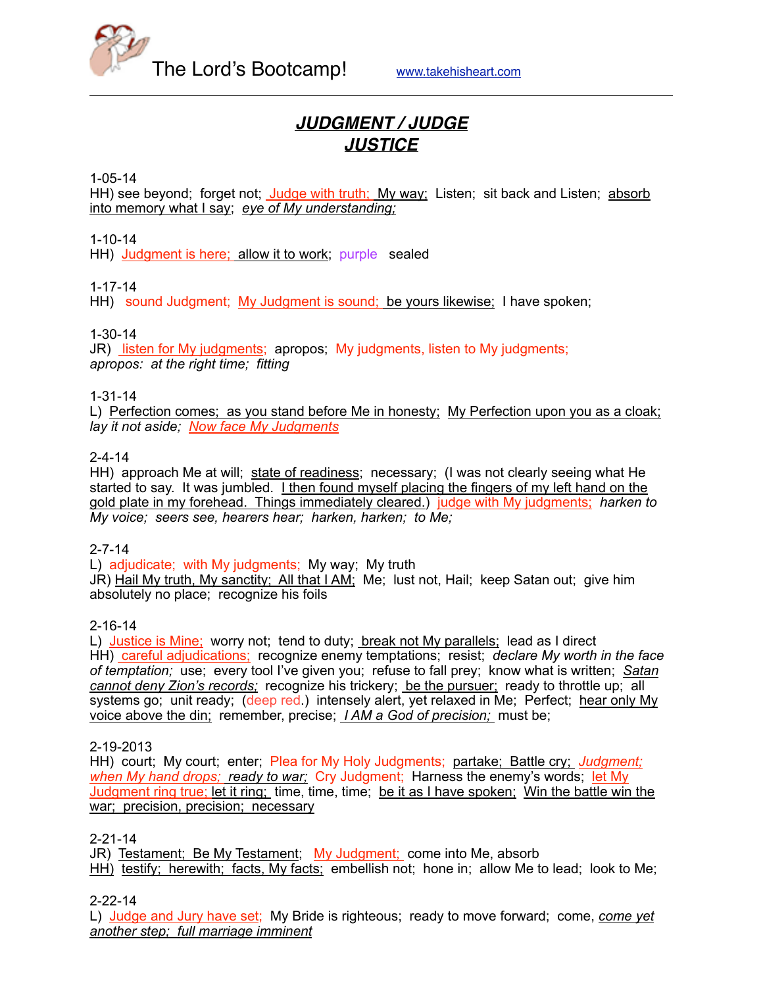

# *JUDGMENT / JUDGE JUSTICE*

#### 1-05-14

HH) see beyond; forget not; Judge with truth; My way; Listen; sit back and Listen; absorb into memory what I say; *eye of My understanding;*

1-10-14

HH) Judgment is here; allow it to work; purple sealed

## 1-17-14

HH) sound Judgment; My Judgment is sound; be yours likewise; I have spoken;

### 1-30-14

JR) listen for My judgments; apropos; My judgments, listen to My judgments; *apropos: at the right time; fitting* 

## 1-31-14

L) Perfection comes; as you stand before Me in honesty; My Perfection upon you as a cloak; *lay it not aside; Now face My Judgments*

### 2-4-14

HH) approach Me at will; state of readiness; necessary; (I was not clearly seeing what He started to say. It was jumbled. I then found myself placing the fingers of my left hand on the gold plate in my forehead. Things immediately cleared.) judge with My judgments; *harken to My voice; seers see, hearers hear; harken, harken; to Me;*

#### 2-7-14

L) adjudicate; with My judgments; My way; My truth

JR) Hail My truth, My sanctity; All that I AM; Me; lust not, Hail; keep Satan out; give him absolutely no place; recognize his foils

## 2-16-14

L) Justice is Mine; worry not; tend to duty; break not My parallels; lead as I direct HH) careful adjudications; recognize enemy temptations; resist; *declare My worth in the face of temptation;* use; every tool I've given you; refuse to fall prey; know what is written; *Satan cannot deny Zion's records;* recognize his trickery; be the pursuer; ready to throttle up; all systems go; unit ready; (deep red.) intensely alert, yet relaxed in Me; Perfect; hear only My voice above the din; remember, precise; *I AM a God of precision;* must be;

## 2-19-2013

HH) court; My court; enter; Plea for My Holy Judgments; partake; Battle cry; *Judgment; when My hand drops; ready to war;* Cry Judgment; Harness the enemy's words; let My Judgment ring true; let it ring; time, time, time; be it as I have spoken; Win the battle win the war; precision, precision; necessary

#### 2-21-14

JR) Testament; Be My Testament; My Judgment; come into Me, absorb HH) testify; herewith; facts, My facts; embellish not; hone in; allow Me to lead; look to Me;

## 2-22-14

L) Judge and Jury have set; My Bride is righteous; ready to move forward; come, *come yet another step; full marriage imminent*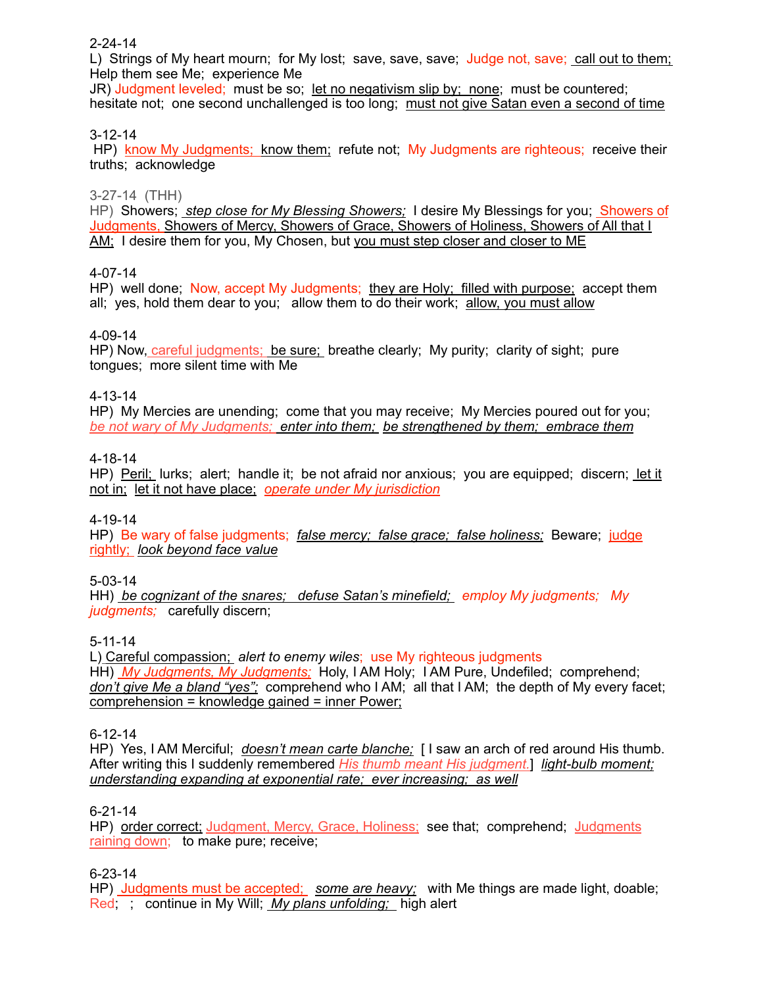## 2-24-14

L) Strings of My heart mourn; for My lost; save, save, save; Judge not, save; call out to them; Help them see Me; experience Me

JR) Judgment leveled; must be so; let no negativism slip by; none; must be countered; hesitate not; one second unchallenged is too long; must not give Satan even a second of time

## 3-12-14

HP) know My Judgments; know them; refute not; My Judgments are righteous; receive their truths; acknowledge

### 3-27-14 (THH)

HP) Showers; *step close for My Blessing Showers;* I desire My Blessings for you; **Showers of** Judgments, Showers of Mercy, Showers of Grace, Showers of Holiness, Showers of All that I AM; I desire them for you, My Chosen, but you must step closer and closer to ME

### 4-07-14

HP) well done; Now, accept My Judgments; they are Holy; filled with purpose; accept them all; yes, hold them dear to you; allow them to do their work; allow, you must allow

### 4-09-14

HP) Now, careful judgments; be sure; breathe clearly; My purity; clarity of sight; pure tongues; more silent time with Me

## 4-13-14

HP) My Mercies are unending; come that you may receive; My Mercies poured out for you; *be not wary of My Judgments; enter into them; be strengthened by them; embrace them*

### 4-18-14

HP) Peril; lurks; alert; handle it; be not afraid nor anxious; you are equipped; discern; let it not in; let it not have place; *operate under My jurisdiction*

## 4-19-14

HP) Be wary of false judgments; *false mercy; false grace; false holiness;* Beware; judge rightly; *look beyond face value*

## 5-03-14

HH) *be cognizant of the snares; defuse Satan's minefield; employ My judgments; My judgments;* carefully discern;

## 5-11-14

L) Careful compassion; *alert to enemy wiles*; use My righteous judgments HH) *My Judgments, My Judgments;* Holy, I AM Holy; I AM Pure, Undefiled; comprehend; *don't give Me a bland "yes";* comprehend who I AM; all that I AM; the depth of My every facet; comprehension = knowledge gained = inner Power;

#### 6-12-14

HP) Yes, I AM Merciful; *doesn't mean carte blanche;* [ I saw an arch of red around His thumb. After writing this I suddenly remembered *His thumb meant His judgment.*] *light-bulb moment; understanding expanding at exponential rate; ever increasing; as well*

#### 6-21-14

HP) order correct; Judgment, Mercy, Grace, Holiness; see that; comprehend; Judgments raining down; to make pure; receive;

## 6-23-14

HP) Judgments must be accepted; *some are heavy;* with Me things are made light, doable; Red; ; continue in My Will; *My plans unfolding;* high alert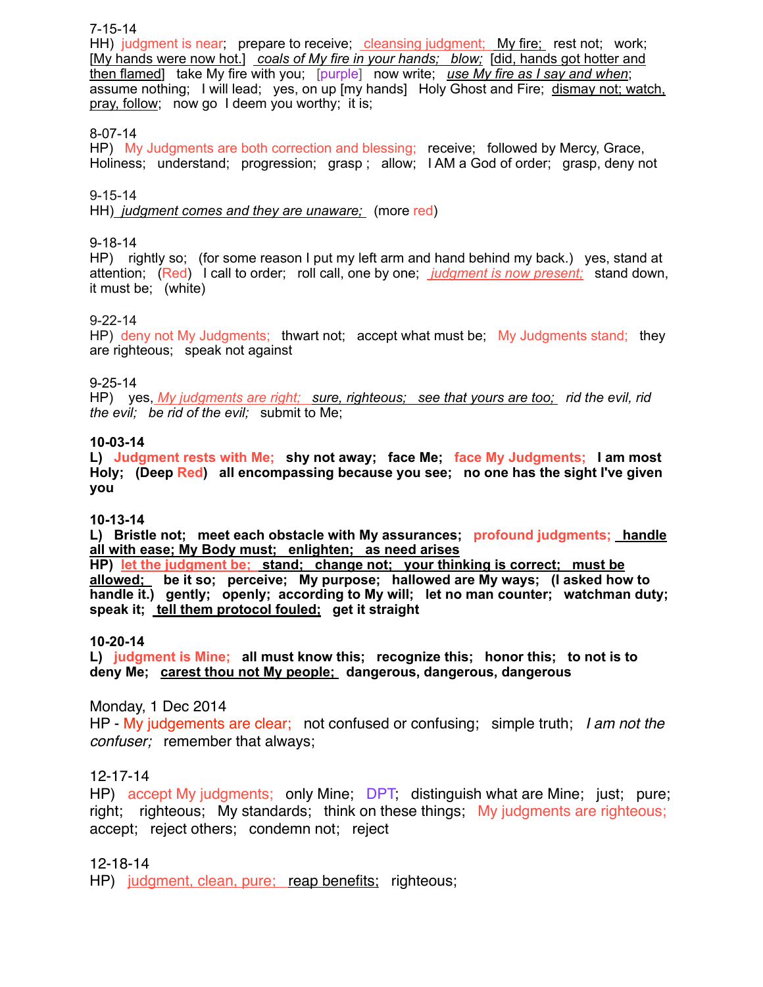### 7-15-14

HH) judgment is near; prepare to receive; cleansing judgment; My fire; rest not; work; [My hands were now hot.] *coals of My fire in your hands; blow;* [did, hands got hotter and then flamed] take My fire with you; [purple] now write; *use My fire as I say and when*; assume nothing; I will lead; yes, on up [my hands] Holy Ghost and Fire; dismay not; watch, pray, follow; now go I deem you worthy; it is;

### 8-07-14

HP) My Judgments are both correction and blessing; receive; followed by Mercy, Grace, Holiness; understand; progression; grasp ; allow; I AM a God of order; grasp, deny not

#### 9-15-14

HH) *judgment comes and they are unaware;* (more red)

#### 9-18-14

HP) rightly so; (for some reason I put my left arm and hand behind my back.) yes, stand at attention; (Red) I call to order; roll call, one by one; *judgment is now present;* stand down, it must be; (white)

#### 9-22-14

HP) deny not My Judgments; thwart not; accept what must be; My Judgments stand; they are righteous; speak not against

#### 9-25-14

HP) yes, *My judgments are right; sure, righteous; see that yours are too; rid the evil, rid the evil; be rid of the evil;* submit to Me;

#### **10-03-14**

**L) Judgment rests with Me; shy not away; face Me; face My Judgments; I am most Holy; (Deep Red) all encompassing because you see; no one has the sight I've given you**

#### **10-13-14**

**L) Bristle not; meet each obstacle with My assurances; profound judgments; handle all with ease; My Body must; enlighten; as need arises**

**HP) let the judgment be; stand; change not; your thinking is correct; must be allowed; be it so; perceive; My purpose; hallowed are My ways; (I asked how to handle it.) gently; openly; according to My will; let no man counter; watchman duty; speak it; tell them protocol fouled; get it straight**

#### **10-20-14**

**L) judgment is Mine; all must know this; recognize this; honor this; to not is to deny Me; carest thou not My people; dangerous, dangerous, dangerous**

## Monday, 1 Dec 2014

HP - My judgements are clear; not confused or confusing; simple truth; *I am not the confuser;* remember that always;

## 12-17-14

HP) accept My judgments; only Mine; DPT, distinguish what are Mine; just; pure; right; righteous; My standards; think on these things; My judgments are righteous; accept; reject others; condemn not; reject

## 12-18-14

HP) judgment, clean, pure; reap benefits; righteous;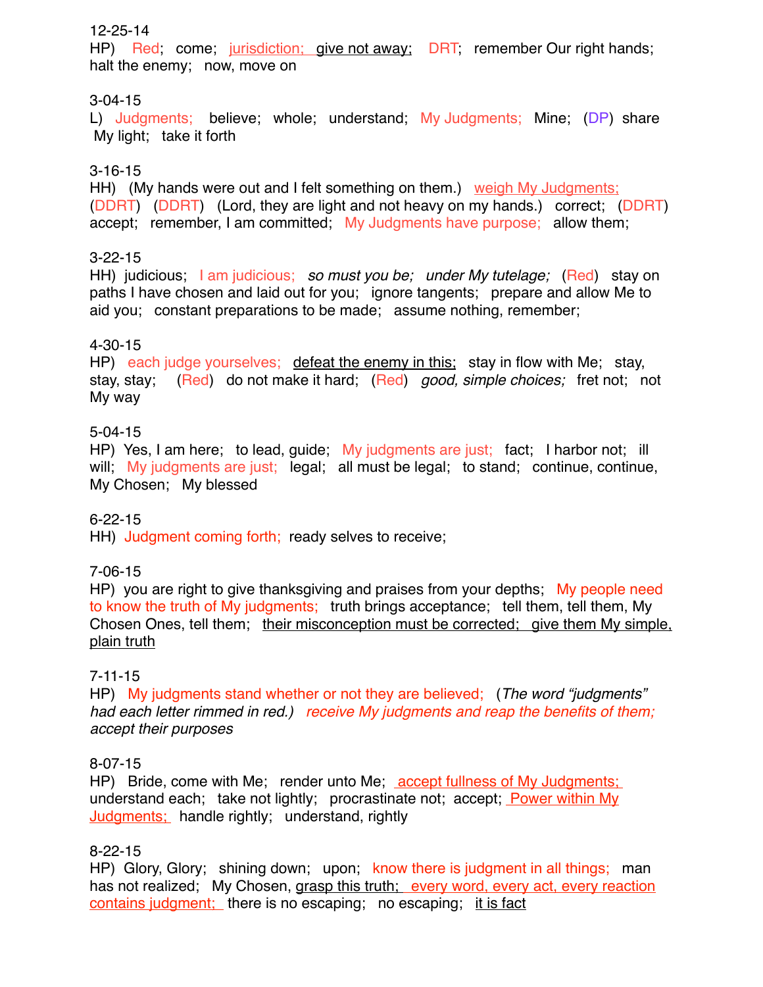# 12-25-14

HP) Red; come; jurisdiction; give not away; DRT; remember Our right hands; halt the enemy; now, move on

# 3-04-15

L) Judgments; believe; whole; understand; My Judgments; Mine; (DP) share My light; take it forth

# 3-16-15

HH) (My hands were out and I felt something on them.) weigh My Judgments; (DDRT) (DDRT) (Lord, they are light and not heavy on my hands.) correct; (DDRT) accept; remember, I am committed; My Judgments have purpose; allow them;

# 3-22-15

HH) judicious; I am judicious; *so must you be; under My tutelage;* (Red) stay on paths I have chosen and laid out for you; ignore tangents; prepare and allow Me to aid you; constant preparations to be made; assume nothing, remember;

# 4-30-15

HP) each judge yourselves; defeat the enemy in this; stay in flow with Me; stay, stay, stay; (Red) do not make it hard; (Red) *good, simple choices;* fret not; not My way

# 5-04-15

HP) Yes, I am here; to lead, guide; My judgments are just; fact; I harbor not; ill will; My judgments are just; legal; all must be legal; to stand; continue, continue, My Chosen; My blessed

# 6-22-15

HH) Judgment coming forth; ready selves to receive;

# 7-06-15

HP) you are right to give thanksgiving and praises from your depths; My people need to know the truth of My judgments; truth brings acceptance; tell them, tell them, My Chosen Ones, tell them; their misconception must be corrected; give them My simple, plain truth

# 7-11-15

HP) My judgments stand whether or not they are believed; (*The word "judgments" had each letter rimmed in red.) receive My judgments and reap the benefits of them; accept their purposes*

# 8-07-15

HP) Bride, come with Me; render unto Me; accept fullness of My Judgments; understand each; take not lightly; procrastinate not; accept; Power within My Judgments; handle rightly; understand, rightly

# 8-22-15

HP) Glory, Glory; shining down; upon; know there is judgment in all things; man has not realized; My Chosen, grasp this truth; every word, every act, every reaction contains judgment; there is no escaping; no escaping; it is fact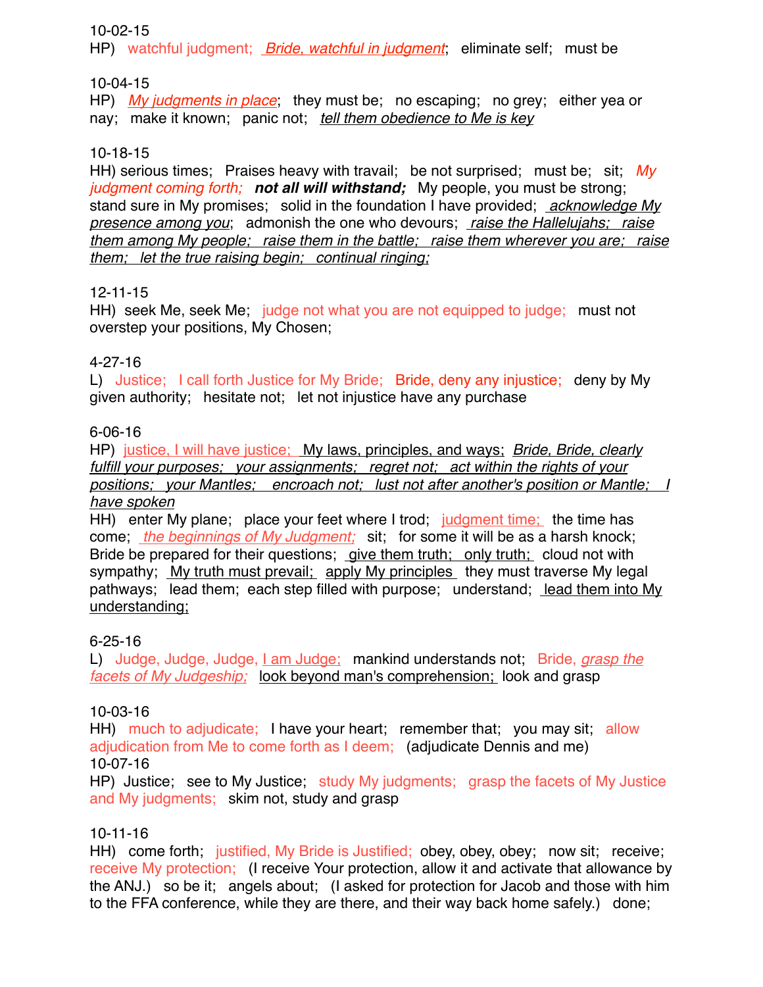10-02-15

HP) watchful judgment; *Bride, watchful in judgment*; eliminate self; must be

10-04-15

HP) *My judgments in place*; they must be; no escaping; no grey; either yea or nay; make it known; panic not; *tell them obedience to Me is key*

# 10-18-15

HH) serious times; Praises heavy with travail; be not surprised; must be; sit; *My judgment coming forth; not all will withstand;* My people, you must be strong; stand sure in My promises; solid in the foundation I have provided; *acknowledge My presence among you*; admonish the one who devours; *raise the Hallelujahs; raise them among My people; raise them in the battle; raise them wherever you are; raise them; let the true raising begin; continual ringing;*

# 12-11-15

HH) seek Me, seek Me; judge not what you are not equipped to judge; must not overstep your positions, My Chosen;

# 4-27-16

L) Justice; I call forth Justice for My Bride; Bride, deny any injustice; deny by My given authority; hesitate not; let not injustice have any purchase

# 6-06-16

HP) justice, I will have justice; My laws, principles, and ways; *Bride, Bride, clearly fulfill your purposes; your assignments; regret not; act within the rights of your positions; your Mantles; encroach not; lust not after another's position or Mantle; I have spoken*

HH) enter My plane; place your feet where I trod; judgment time; the time has come; *the beginnings of My Judgment;* sit; for some it will be as a harsh knock; Bride be prepared for their questions; give them truth; only truth; cloud not with sympathy; My truth must prevail; apply My principles they must traverse My legal pathways; lead them; each step filled with purpose; understand; lead them into My understanding;

# 6-25-16

L) Judge, Judge, Judge, I am Judge; mankind understands not; Bride, *grasp the facets of My Judgeship;* look beyond man's comprehension; look and grasp

# 10-03-16

HH) much to adjudicate; I have your heart; remember that; you may sit; allow adjudication from Me to come forth as I deem; (adjudicate Dennis and me) 10-07-16

HP) Justice; see to My Justice; study My judgments; grasp the facets of My Justice and My judgments; skim not, study and grasp

# 10-11-16

HH) come forth; justified, My Bride is Justified; obey, obey, obey; now sit; receive; receive My protection; (I receive Your protection, allow it and activate that allowance by the ANJ.) so be it; angels about; (I asked for protection for Jacob and those with him to the FFA conference, while they are there, and their way back home safely.) done;